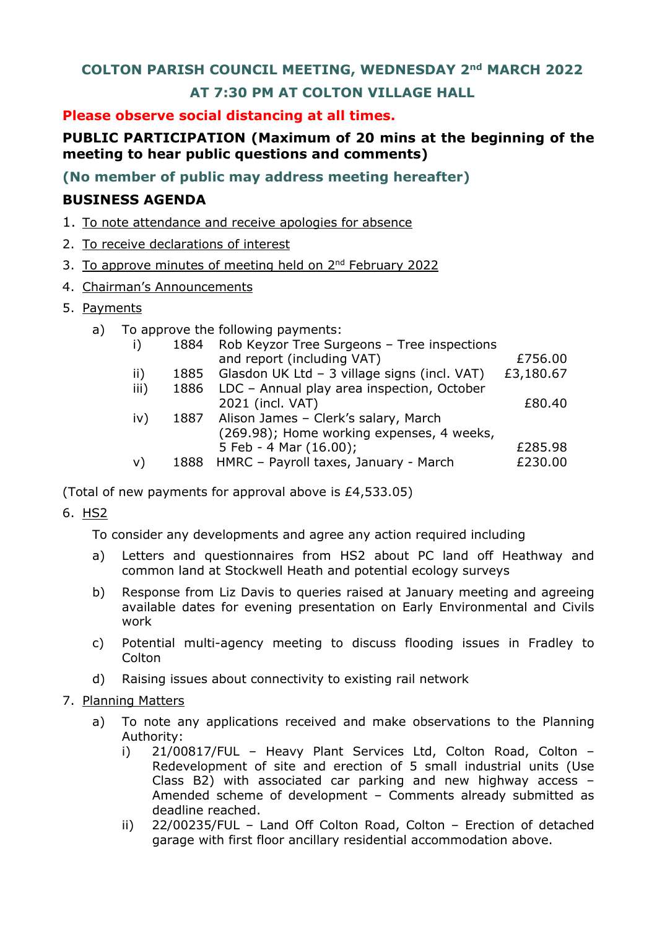## **COLTON PARISH COUNCIL MEETING, WEDNESDAY 2nd MARCH 2022**

# **AT 7:30 PM AT COLTON VILLAGE HALL**

### **Please observe social distancing at all times.**

## **PUBLIC PARTICIPATION (Maximum of 20 mins at the beginning of the meeting to hear public questions and comments)**

**(No member of public may address meeting hereafter)**

## **BUSINESS AGENDA**

- 1. To note attendance and receive apologies for absence
- 2. To receive declarations of interest
- 3. To approve minutes of meeting held on 2<sup>nd</sup> February 2022
- 4. Chairman's Announcements
- 5. Payments
	- a) To approve the following payments:

| i)   | 1884 | Rob Keyzor Tree Surgeons - Tree inspections  |           |
|------|------|----------------------------------------------|-----------|
|      |      | and report (including VAT)                   | £756.00   |
| ii)  | 1885 | Glasdon UK Ltd - 3 village signs (incl. VAT) | £3,180.67 |
| iii) | 1886 | LDC - Annual play area inspection, October   |           |
|      |      | 2021 (incl. VAT)                             | £80.40    |
| iv)  | 1887 | Alison James - Clerk's salary, March         |           |
|      |      | (269.98); Home working expenses, 4 weeks,    |           |
|      |      | 5 Feb - 4 Mar (16.00);                       | £285.98   |
| V)   | 1888 | HMRC - Payroll taxes, January - March        | £230.00   |
|      |      |                                              |           |

(Total of new payments for approval above is £4,533.05)

### 6. HS2

To consider any developments and agree any action required including

- a) Letters and questionnaires from HS2 about PC land off Heathway and common land at Stockwell Heath and potential ecology surveys
- b) Response from Liz Davis to queries raised at January meeting and agreeing available dates for evening presentation on Early Environmental and Civils work
- c) Potential multi-agency meeting to discuss flooding issues in Fradley to **Colton**
- d) Raising issues about connectivity to existing rail network

### 7. Planning Matters

- a) To note any applications received and make observations to the Planning Authority:
	- i) 21/00817/FUL Heavy Plant Services Ltd, Colton Road, Colton Redevelopment of site and erection of 5 small industrial units (Use Class B2) with associated car parking and new highway access – Amended scheme of development – Comments already submitted as deadline reached.
	- ii) 22/00235/FUL Land Off Colton Road, Colton Erection of detached garage with first floor ancillary residential accommodation above.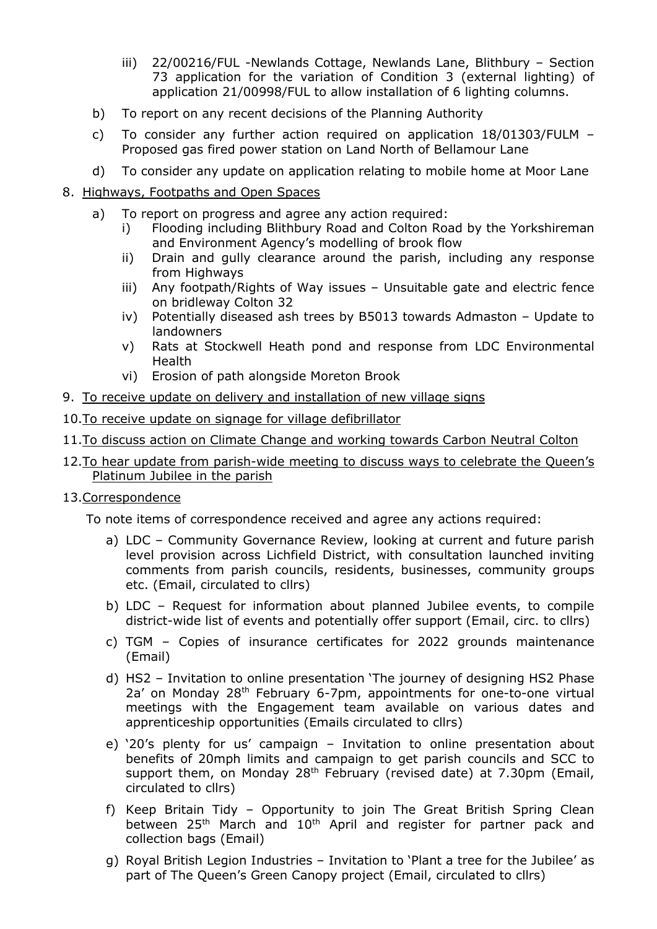- iii) 22/00216/FUL -Newlands Cottage, Newlands Lane, Blithbury Section 73 application for the variation of Condition 3 (external lighting) of application 21/00998/FUL to allow installation of 6 lighting columns.
- b) To report on any recent decisions of the Planning Authority
- c) To consider any further action required on application 18/01303/FULM Proposed gas fired power station on Land North of Bellamour Lane
- d) To consider any update on application relating to mobile home at Moor Lane
- 8. Highways, Footpaths and Open Spaces
	- a) To report on progress and agree any action required:
		- i) Flooding including Blithbury Road and Colton Road by the Yorkshireman and Environment Agency's modelling of brook flow
		- ii) Drain and gully clearance around the parish, including any response from Highways
		- iii) Any footpath/Rights of Way issues Unsuitable gate and electric fence on bridleway Colton 32
		- iv) Potentially diseased ash trees by B5013 towards Admaston Update to landowners
		- v) Rats at Stockwell Heath pond and response from LDC Environmental Health
		- vi) Erosion of path alongside Moreton Brook
- 9. To receive update on delivery and installation of new village signs
- 10.To receive update on signage for village defibrillator
- 11.To discuss action on Climate Change and working towards Carbon Neutral Colton
- 12.To hear update from parish-wide meeting to discuss ways to celebrate the Queen's Platinum Jubilee in the parish

#### 13.Correspondence

To note items of correspondence received and agree any actions required:

- a) LDC Community Governance Review, looking at current and future parish level provision across Lichfield District, with consultation launched inviting comments from parish councils, residents, businesses, community groups etc. (Email, circulated to cllrs)
- b) LDC Request for information about planned Jubilee events, to compile district-wide list of events and potentially offer support (Email, circ. to cllrs)
- c) TGM Copies of insurance certificates for 2022 grounds maintenance (Email)
- d) HS2 Invitation to online presentation 'The journey of designing HS2 Phase 2a' on Monday 28<sup>th</sup> February 6-7pm, appointments for one-to-one virtual meetings with the Engagement team available on various dates and apprenticeship opportunities (Emails circulated to cllrs)
- e) '20's plenty for us' campaign Invitation to online presentation about benefits of 20mph limits and campaign to get parish councils and SCC to support them, on Monday 28<sup>th</sup> February (revised date) at 7.30pm (Email, circulated to cllrs)
- f) Keep Britain Tidy Opportunity to join The Great British Spring Clean between 25<sup>th</sup> March and 10<sup>th</sup> April and register for partner pack and collection bags (Email)
- g) Royal British Legion Industries Invitation to 'Plant a tree for the Jubilee' as part of The Queen's Green Canopy project (Email, circulated to cllrs)